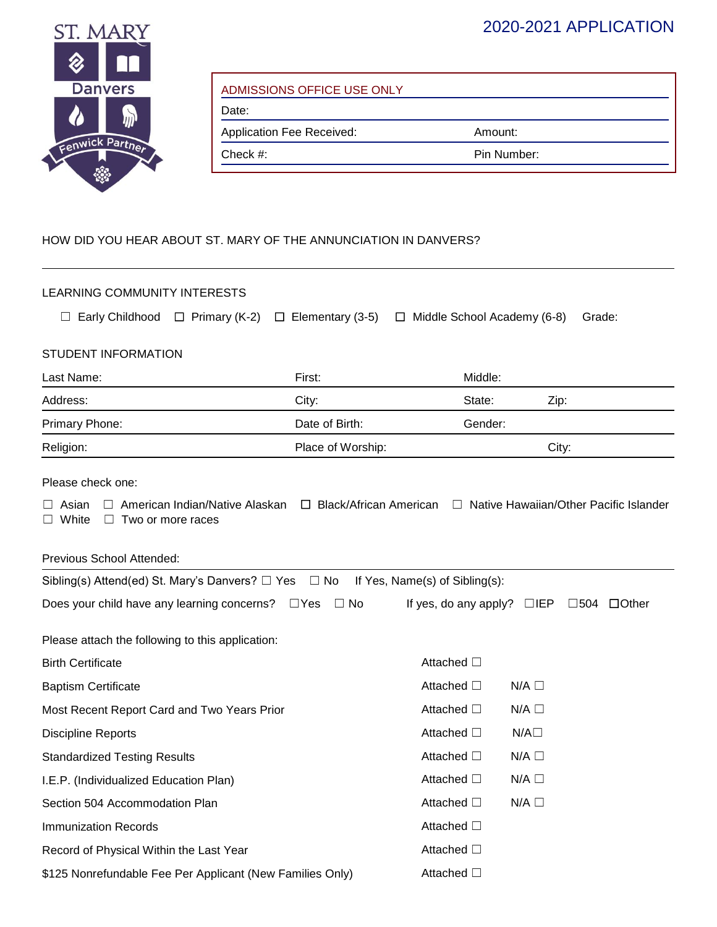## 2020-2021 APPLICATION



| ADMISSIONS OFFICE USE ONLY |  |  |
|----------------------------|--|--|
|----------------------------|--|--|

Date:

Application Fee Received: **Amount:** Amount: Check #: Pin Number:

## HOW DID YOU HEAR ABOUT ST. MARY OF THE ANNUNCIATION IN DANVERS?

| LEARNING COMMUNITY INTERESTS                                                                                                                                         |                         |                                                          |        |  |  |
|----------------------------------------------------------------------------------------------------------------------------------------------------------------------|-------------------------|----------------------------------------------------------|--------|--|--|
| $\Box$ Early Childhood $\Box$ Primary (K-2)                                                                                                                          | $\Box$ Elementary (3-5) | $\Box$ Middle School Academy (6-8)                       | Grade: |  |  |
| STUDENT INFORMATION                                                                                                                                                  |                         |                                                          |        |  |  |
|                                                                                                                                                                      |                         |                                                          |        |  |  |
| Last Name:                                                                                                                                                           | First:                  | Middle:                                                  |        |  |  |
| Address:                                                                                                                                                             | City:                   | State:                                                   | Zip:   |  |  |
| Primary Phone:                                                                                                                                                       | Date of Birth:          | Gender:                                                  |        |  |  |
| Religion:                                                                                                                                                            | Place of Worship:       |                                                          | City:  |  |  |
| Please check one:                                                                                                                                                    |                         |                                                          |        |  |  |
| □ Native Hawaiian/Other Pacific Islander<br>$\Box$ American Indian/Native Alaskan $\Box$ Black/African American<br>Asian<br>$\Box$ White<br>$\Box$ Two or more races |                         |                                                          |        |  |  |
| Previous School Attended:                                                                                                                                            |                         |                                                          |        |  |  |
| Sibling(s) Attend(ed) St. Mary's Danvers? □ Yes □ No                                                                                                                 |                         | If Yes, Name(s) of Sibling(s):                           |        |  |  |
| Does your child have any learning concerns? □ Yes                                                                                                                    | $\Box$ No               | If yes, do any apply? $\Box$ IEP $\Box$ 504 $\Box$ Other |        |  |  |
| Please attach the following to this application:                                                                                                                     |                         |                                                          |        |  |  |
| <b>Birth Certificate</b>                                                                                                                                             |                         | Attached □                                               |        |  |  |
| <b>Baptism Certificate</b>                                                                                                                                           |                         | Attached □<br>$N/A \Box$                                 |        |  |  |
| Most Recent Report Card and Two Years Prior                                                                                                                          |                         | Attached □<br>$N/A \Box$                                 |        |  |  |
| <b>Discipline Reports</b>                                                                                                                                            |                         | Attached □<br>$N/A\square$                               |        |  |  |
| <b>Standardized Testing Results</b>                                                                                                                                  |                         | Attached $\square$<br>$N/A$ $\square$                    |        |  |  |
| I.E.P. (Individualized Education Plan)                                                                                                                               |                         | Attached □<br>$N/A$ $\square$                            |        |  |  |
| Section 504 Accommodation Plan                                                                                                                                       |                         | Attached □<br>$N/A$ $\square$                            |        |  |  |
| <b>Immunization Records</b>                                                                                                                                          |                         | Attached □                                               |        |  |  |
| Record of Physical Within the Last Year                                                                                                                              |                         | Attached □                                               |        |  |  |
| \$125 Nonrefundable Fee Per Applicant (New Families Only)                                                                                                            |                         | Attached □                                               |        |  |  |